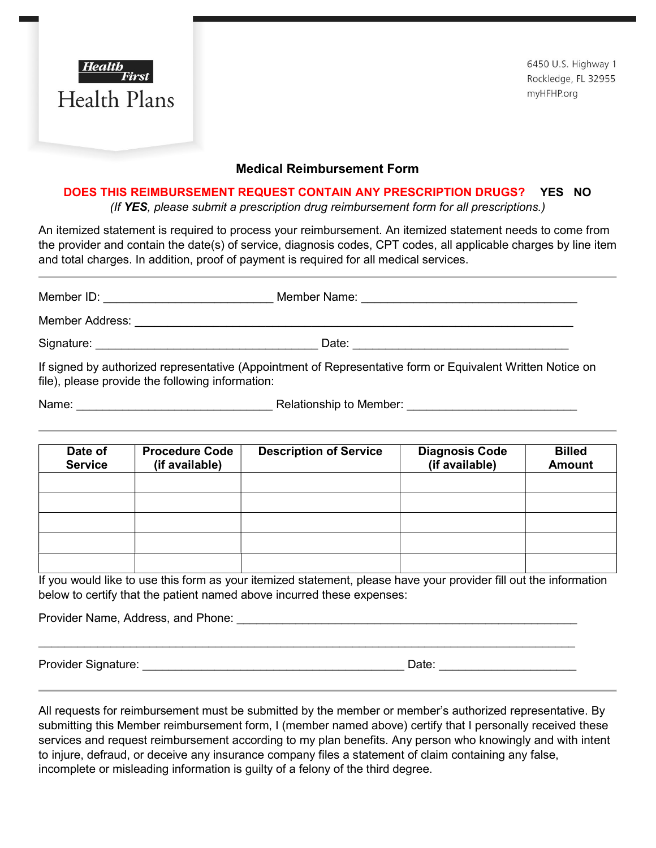

6450 U.S. Highway 1 Rockledge, FL 32955 myHFHP.org

## Medical Reimbursement Form

## DOES THIS RE**I**MBURSEMENT REQUEST CONTAIN ANY PRESCRIPTION DRUGS? YES NO

(If YES, please submit a prescription drug reimbursement form for all prescriptions.)

An itemized statement is required to process your reimbursement. An itemized statement needs to come from the provider and contain the date(s) of service, diagnosis codes, CPT codes, all applicable charges by line item and total charges. In addition, proof of payment is required for all medical services.

| Member ID:      | Member Name:                                                                                               |
|-----------------|------------------------------------------------------------------------------------------------------------|
| Member Address: |                                                                                                            |
| Signature:      | Date:                                                                                                      |
|                 | If signed by authorized representative (Appointment of Representative form or Equivalent Written Notice on |

file), please provide the following information:

Name: etc. and the set of the Relationship to Member:  $\blacksquare$ 

| Date of<br><b>Service</b> | <b>Procedure Code</b><br>(if available) | <b>Description of Service</b> | <b>Diagnosis Code</b><br>(if available) | <b>Billed</b><br><b>Amount</b> |
|---------------------------|-----------------------------------------|-------------------------------|-----------------------------------------|--------------------------------|
|                           |                                         |                               |                                         |                                |
|                           |                                         |                               |                                         |                                |
|                           |                                         |                               |                                         |                                |
|                           |                                         |                               |                                         |                                |
|                           |                                         |                               |                                         |                                |

If you would like to use this form as your itemized statement, please have your provider fill out the information below to certify that the patient named above incurred these expenses:

Provider Name, Address, and Phone: \_\_\_\_\_\_\_\_\_\_\_\_\_\_\_\_\_\_\_\_\_\_\_\_\_\_\_\_\_\_\_\_\_\_\_\_\_\_\_\_\_\_\_\_\_\_\_\_\_\_\_\_

Provider Signature: <br>
Provider Signature:

All requests for reimbursement must be submitted by the member or member's authorized representative. By submitting this Member reimbursement form, I (member named above) certify that I personally received these services and request reimbursement according to my plan benefits. Any person who knowingly and with intent to injure, defraud, or deceive any insurance company files a statement of claim containing any false, incomplete or misleading information is guilty of a felony of the third degree.